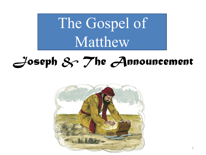The Gospel of Matthew

## *Joseph & The Announcement*

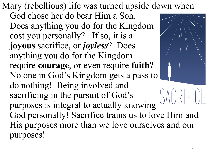Mary (rebellious) life was turned upside down when God chose her do bear Him a Son. Does anything you do for the Kingdom cost you personally? If so, it is a **joyous** sacrifice, or *joyless*? Does anything you do for the Kingdom require **courage**, or even require **faith**? No one in God's Kingdom gets a pass to do nothing! Being involved and sacrificing in the pursuit of God's purposes is integral to actually knowing God personally! Sacrifice trains us to love Him and His purposes more than we love ourselves and our purposes!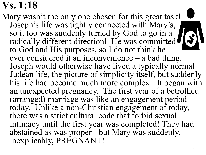## **Vs. 1:18**

Mary wasn't the only one chosen for this great task! Joseph's life was tightly connected with Mary's, so it too was suddenly turned by God to go in a so it too was succently turned by God to go in a radically different direction! He was committed to God and His purposes, so I do not think he ever considered it an inconvenience  $-$  a bad thing. Joseph would otherwise have lived a typically normal Judean life, the picture of simplicity itself, but suddenly his life had become much more complex! It began with an unexpected pregnancy. The first year of a betrothed (arranged) marriage was like an engagement period today. Unlike a non-Christian engagement of today, there was a strict cultural code that forbid sexual intimacy until the first year was completed! They had abstained as was proper - but Mary was suddenly, inexplicably, PREGNANT!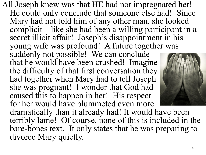All Joseph knew was that HE had not impregnated her! He could only conclude that someone else had! Since Mary had not told him of any other man, she looked complicit – like she had been a willing participant in a secret illicit affair! Joseph's disappointment in his young wife was profound! A future together was suddenly not possible! We can conclude that he would have been crushed! Imagine the difficulty of that first conversation they had together when Mary had to tell Joseph she was pregnant! I wonder that God had caused this to happen in her! His respect for her would have plummeted even more dramatically than it already had! It would have been terribly lame! Of course, none of this is included in the bare-bones text. It only states that he was preparing to divorce Mary quietly.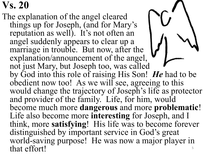## **Vs. 20**

The explanation of the angel cleared things up for Joseph, (and for Mary's reputation as well). It's not often an angel suddenly appears to clear up a marriage in trouble. But now, after the explanation/announcement of the angel, not just Mary, but Joseph too, was called by God into this role of raising His Son! *He* had to be obedient now too! As we will see, agreeing to this would change the trajectory of Joseph's life as protector and provider of the family. Life, for him, would become much more **dangerous** and more **problematic**! Life also become more **interesting** for Joseph, and I think, more **satisfying**! His life was to become forever distinguished by important service in God's great world-saving purpose! He was now a major player in that effort!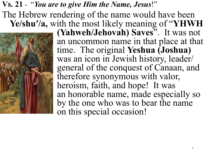## **Vs. 21** - "*You are to give Him the Name, Jesus*!"

The Hebrew rendering of the name would have been **Ye/shu′/a,** with the most likely meaning of "**YHWH** 



**(Yahweh/Jehovah) Saves**". It was not an uncommon name in that place at that time. The original **Yeshua (Joshua)** was an icon in Jewish history, leader/ general of the conquest of Canaan, and therefore synonymous with valor, heroism, faith, and hope! It was an honorable name, made especially so by the one who was to bear the name on this special occasion!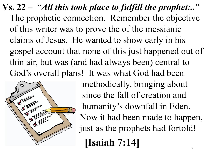**Vs. 22** – "*All this took place to fulfill the prophet:..*" The prophetic connection. Remember the objective of this writer was to prove the of the messianic claims of Jesus. He wanted to show early in his gospel account that none of this just happened out of thin air, but was (and had always been) central to God's overall plans! It was what God had been



methodically, bringing about since the fall of creation and humanity's downfall in Eden. Now it had been made to happen, just as the prophets had fortold!

**[Isaiah 7:14]** 7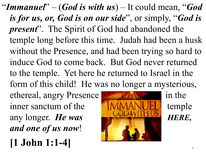"*Immanuel*" – (*God is with us*) – It could mean, "*God is for us, or, God is on our side*", or simply, "*God is present*". The Spirit of God had abandoned the temple long before this time. Judah had been a husk without the Presence, and had been trying so hard to induce God to come back. But God never returned to the temple. Yet here he returned to Israel in the form of this child! He was no longer a mysterious,

ethereal, angry Presence **in the** in the inner sanctum of the **the temple** temple any longer. *He was* HERE, *and one of us now*!

$$
[1 \text{ John } 1:1-4]
$$

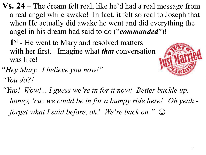**Vs. 24** – The dream felt real, like he'd had a real message from a real angel while awake! In fact, it felt so real to Joseph that when He actually did awake he went and did everything the angel in his dream had said to do ("*commanded*")!

**1st** - He went to Mary and resolved matters with her first. Imagine what *that* conversation was like!



- "*Hey Mary. I believe you now!" "You do?!*
- *"Yup! Wow!... I guess we're in for it now! Better buckle up, honey, 'cuz we could be in for a bumpy ride here! Oh yeah forget what I said before, ok? We're back on.*"  $\odot$